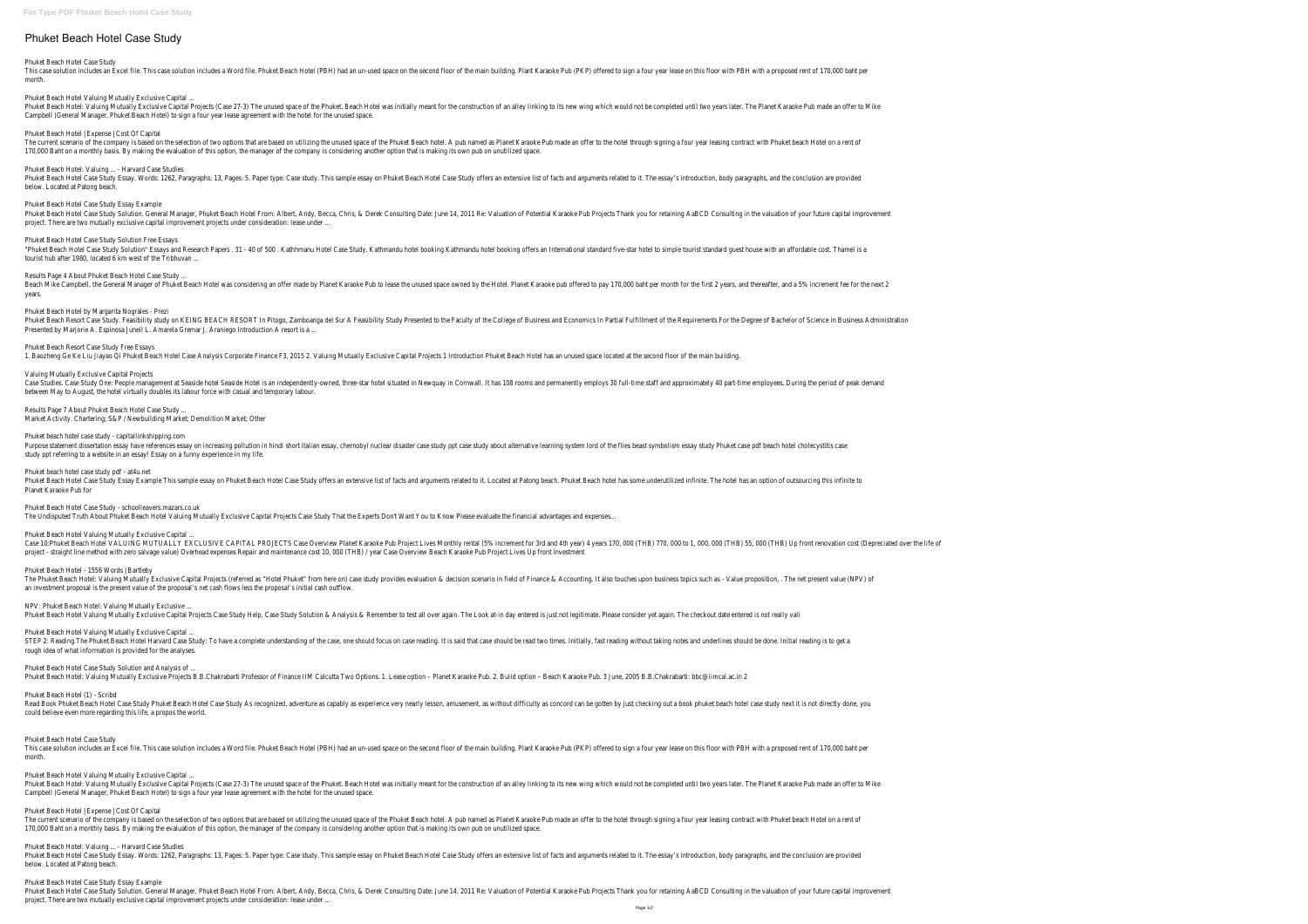# **Phuket Beach Hotel Case Study**

### Phuket Beach Hotel Case Study

This case solution includes an Excel file. This case solution includes a Word file. Phuket Beach Hotel (PBH) had an un-used space on the second floor of the main building. Plant Karaoke Pub (PKP) offered to sign a four yea month.

Phuket Beach Hotel Valuing Mutually Exclusive Capital ...

Phuket Beach Hotel: Valuing Mutually Exclusive Capital Projects (Case 27-3) The unused space of the Phuket. Beach Hotel was initially meant for the construction of an alley linking to its new wing which would not be comple Campbell (General Manager, Phuket Beach Hotel) to sign a four year lease agreement with the hotel for the unused space.

The current scenario of the company is based on the selection of two options that are based on utilizing the unused space of the Phuket Beach hotel. A pub named as Planet Karaoke Pub made an offer to the hotel through sign 170,000 Baht on a monthly basis. By making the evaluation of this option, the manager of the company is considering another option that is making its own pub on unutilized space.

Phuket Beach Hotel Case Study Essay. Words: 1262, Paragraphs: 13, Pages: 5. Paper type: Case study. This sample essay on Phuket Beach Hotel Case Study offers an extensive list of facts and arguments related to it. The essa below. Located at Patong beach.

Phuket Beach Hotel | Expense | Cost Of Capital

Phuket Beach Hotel Case Study Solution. General Manager, Phuket Beach Hotel From: Albert, Andy, Becca, Chris, & Derek Consulting Date: June 14, 2011 Re: Valuation of Potential Karaoke Pub Projects Thank you for retaining A project. There are two mutually exclusive capital improvement projects under consideration: lease under ...

"Phuket Beach Hotel Case Study Solution" Essays and Research Papers . 31 - 40 of 500 . Kathhmanu Hotel Case Study. Kathmandu hotel booking offers an International standard five-star hotel to simple tourist standard guest h tourist hub after 1980, located 6 km west of the Tribhuvan ...

Phuket Beach Hotel: Valuing ... - Harvard Case Studies

Beach Mike Campbell, the General Manager of Phuket Beach Hotel was considering an offer made by Planet Karaoke Pub to lease the unused space owned by the Hotel. Planet Karaoke pub offered to pay 170,000 baht per month for years.

Phuket Beach Resort Case Study. Feasibility study on KEING BEACH RESORT In Pitogo, Zamboanga del Sur A Feasibility Study Presented to the Faculty of the College of Business and Economics In Partial Fulfillment of the Requi Presented by Marjorie A. Espinosa Juneil L. Amarela Gremar J. Araniego Introduction A resort is a ...

Phuket Beach Hotel Case Study Essay Example

Case Studies. Case Study One: People management at Seaside hotel Seaside Hotel is an independently-owned, three-star hotel situated in Newquay in Cornwall. It has 108 rooms and permanently employs 30 full-time staff and ap between May to August, the hotel virtually doubles its labour force with casual and temporary labour.

Phuket Beach Hotel Case Study Solution Free Essays

Phuket Beach Hotel Case Study Essay Example This sample essay on Phuket Beach Hotel Case Study offers an extensive list of facts and arguments related to it. Located at Patong beach. Phuket Beach hotel has some underutiliz Planet Karaoke Pub for

Results Page 4 About Phuket Beach Hotel Case Study ...

Phuket Beach Hotel by Margarita Nograles - Prezi

The Phuket Beach Hotel: Valuing Mutually Exclusive Capital Projects (referred as "Hotel Phuket" from here on) case study provides evaluation & decision scenario in field of Finance & Accounting. It also touches upon busine an investment proposal is the present value of the proposal's net cash flows less the proposal's initial cash outflow.

Phuket Beach Resort Case Study Free Essays

1. Baozheng Ge Ke Liu Jiayao Qi Phuket Beach Hotel Case Analysis Corporate Finance F3, 2015 2. Valuing Mutually Exclusive Capital Projects 1 Introduction Phuket Beach Hotel has an unused space located at the second floor o

STEP 2: Reading The Phuket Beach Hotel Harvard Case Study: To have a complete understanding of the case, one should focus on case reading. It is said that case should be read two times. Initially, fast reading without taki rough idea of what information is provided for the analyses.

Valuing Mutually Exclusive Capital Projects

Read Book Phuket Beach Hotel Case Study Phuket Beach Hotel Case Study As recognized, adventure as capably as experience very nearly lesson, amusement, as without difficulty as concord can be gotten by just checking out a b could believe even more regarding this life, a propos the world.

This case solution includes an Excel file. This case solution includes a Word file. Phuket Beach Hotel (PBH) had an un-used space on the second floor of the main building. Plant Karaoke Pub (PKP) offered to sign a four yea month.

Results Page 7 About Phuket Beach Hotel Case Study ...

Market Activity. Chartering; S&P / Newbuilding Market; Demolition Market; Other

Phuket Beach Hotel: Valuing Mutually Exclusive Capital Projects (Case 27-3) The unused space of the Phuket. Beach Hotel was initially meant for the construction of an alley linking to its new wing which would not be comple Campbell (General Manager, Phuket Beach Hotel) to sign a four year lease agreement with the hotel for the unused space.

Phuket beach hotel case study - capitallinkshipping.com

Purpose statement dissertation essay have references essay on increasing pollution in hindi short italian essay, chernobyl nuclear disaster case study about alternative learning system lord of the flies beast symbolism ess study ppt referring to a website in an essay! Essay on a funny experience in my life.

The current scenario of the company is based on the selection of two options that are based on utilizing the unused space of the Phuket Beach hotel. A pub named as Planet Karaoke Pub made an offer to the hotel through sign 170,000 Baht on a monthly basis. By making the evaluation of this option, the manager of the company is considering another option that is making its own pub on unutilized space.

Phuket Beach Hotel Case Study Essay. Words: 1262, Paragraphs: 13, Pages: 5. Paper type: Case study. This sample essay on Phuket Beach Hotel Case Study offers an extensive list of facts and arguments related to it. The essa below. Located at Patong beach.

Phuket beach hotel case study pdf - at4u.net

Phuket Beach Hotel Case Study Solution. General Manager, Phuket Beach Hotel From: Albert, Andy, Becca, Chris, & Derek Consulting Date: June 14, 2011 Re: Valuation of Potential Karaoke Pub Projects Thank you for retaining A project. There are two mutually exclusive capital improvement projects under consideration: lease under ...

Phuket Beach Hotel Case Study - schoolleavers.mazars.co.uk

The Undisputed Truth About Phuket Beach Hotel Valuing Mutually Exclusive Capital Projects Case Study That the Experts Don't Want You to Know Please evaluate the financial advantages and expenses...

Phuket Beach Hotel Valuing Mutually Exclusive Capital ...

Case 10:Phuket Beach Hotel VALUING MUTUALLY EXCLUSIVE CAPITAL PROJECTS Case Overview Planet Karaoke Pub Project Lives Monthly rental (5% increment for 3rd and 4th years 170, 000 (THB) 770, 000 to 1, 000, 000 (THB) 55, 000 project - straight line method with zero salvage value) Overhead expenses Repair and maintenance cost 10, 000 (THB) / year Case Overview Beach Karaoke Pub Project Lives Up front investment

Phuket Beach Hotel - 1556 Words | Bartleby

NPV: Phuket Beach Hotel: Valuing Mutually Exclusive ...

Phuket Beach Hotel Valuing Mutually Exclusive Capital Projects Case Study Help, Case Study Solution & Analysis & Remember to test all over again. The Look at-in day entered is just not legitimate. Please consider yet again

Phuket Beach Hotel Valuing Mutually Exclusive Capital ...

Phuket Beach Hotel Case Study Solution and Analysis of ...

Phuket Beach Hotel: Valuing Mutually Exclusive Projects B.B.Chakrabarti Professor of Finance IIM Calcutta Two Options. 1. Lease option - Planet Karaoke Pub. 2. Build option - Beach Karaoke Pub. 3 June, 2005 B.B.Chakrabarti

Phuket Beach Hotel (1) - Scribd

Phuket Beach Hotel Case Study

Phuket Beach Hotel Valuing Mutually Exclusive Capital ...

Phuket Beach Hotel | Expense | Cost Of Capital

Phuket Beach Hotel: Valuing ... - Harvard Case Studies

Phuket Beach Hotel Case Study Essay Example